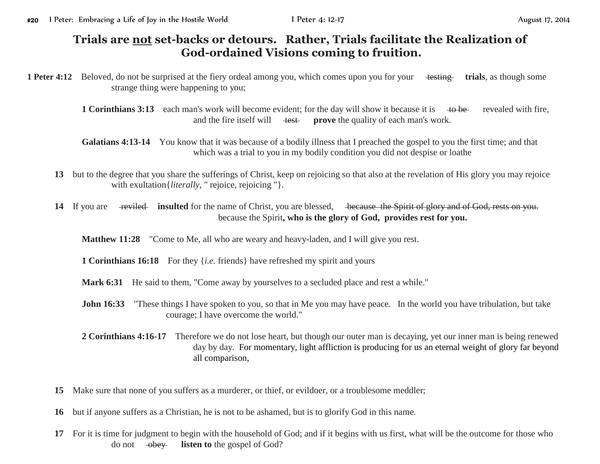## **Trials are not set-backs or detours. Rather, Trials facilitate the Realization of God-ordained Visions coming to fruition.**

**1 Peter 4:12** Beloved, do not be surprised at the fiery ordeal among you, which comes upon you for your testing trials, as though some strange thing were happening to you;

> **1 Corinthians 3:13** each man's work will become evident; for the day will show it because it is to be revealed with fire, and the fire itself will test **prove** the quality of each man's work.

**Galatians 4:13-14** You know that it was because of a bodily illness that I preached the gospel to you the first time; and that which was a trial to you in my bodily condition you did not despise or loathe

- **13** but to the degree that you share the sufferings of Christ, keep on rejoicing so that also at the revelation of His glory you may rejoice with exultation {*literally*, " rejoice, rejoicing " }.
- 14 If you are <del>reviled</del> insulted for the name of Christ, you are blessed, because the Spirit of glory and of God, rests on you. because the Spirit**, who is the glory of God, provides rest for you.**

**Matthew 11:28** "Come to Me, all who are weary and heavy-laden, and I will give you rest.

**1 Corinthians 16:18** For they {*i.e.* friends} have refreshed my spirit and yours

**Mark 6:31** He said to them, "Come away by yourselves to a secluded place and rest a while."

- **John 16:33** "These things I have spoken to you, so that in Me you may have peace. In the world you have tribulation, but take courage; I have overcome the world."
- **2 Corinthians 4:16-17** Therefore we do not lose heart, but though our outer man is decaying, yet our inner man is being renewed day by day. For momentary, light affliction is producing for us an eternal weight of glory far beyond all comparison,
- **15** Make sure that none of you suffers as a murderer, or thief, or evildoer, or a troublesome meddler;
- **16** but if anyone suffers as a Christian, he is not to be ashamed, but is to glorify God in this name.
- **17** For it is time for judgment to begin with the household of God; and if it begins with us first, what will be the outcome for those who do not  $-\theta$ <del>obey</del> **listen to** the gospel of God?